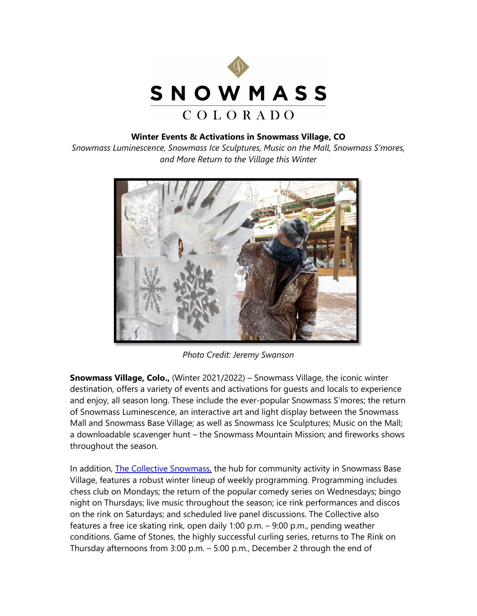

## **Winter Events & Activations in Snowmass Village, CO**

*Snowmass Luminescence, Snowmass Ice Sculptures, Music on the Mall, Snowmass S'mores, and More Return to the Village this Winter*



*Photo Credit: Jeremy Swanson*

**Snowmass Village, Colo.,** (Winter 2021/2022) – Snowmass Village, the iconic winter destination, offers a variety of events and activations for guests and locals to experience and enjoy, all season long. These include the ever-popular Snowmass S'mores; the return of Snowmass Luminescence, an interactive art and light display between the Snowmass Mall and Snowmass Base Village; as well as Snowmass Ice Sculptures; Music on the Mall; a downloadable scavenger hunt – the Snowmass Mountain Mission; and fireworks shows throughout the season.

In addition, **The Collective Snowmass**, the hub for community activity in Snowmass Base Village, features a robust winter lineup of weekly programming. Programming includes chess club on Mondays; the return of the popular comedy series on Wednesdays; bingo night on Thursdays; live music throughout the season; ice rink performances and discos on the rink on Saturdays; and scheduled live panel discussions. The Collective also features a free ice skating rink, open daily 1:00 p.m. – 9:00 p.m., pending weather conditions. Game of Stones, the highly successful curling series, returns to The Rink on Thursday afternoons from 3:00 p.m. – 5:00 p.m., December 2 through the end of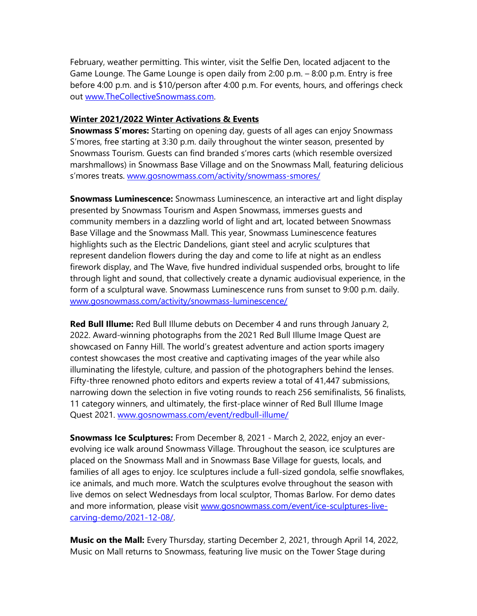February, weather permitting. This winter, visit the Selfie Den, located adjacent to the Game Lounge. The Game Lounge is open daily from 2:00 p.m. – 8:00 p.m. Entry is free before 4:00 p.m. and is \$10/person after 4:00 p.m. For events, hours, and offerings check out [www.TheCollectiveSnowmass.com.](http://www.thecollectivesnowmass.com/)

## **Winter 2021/2022 Winter Activations & Events**

**Snowmass S'mores:** Starting on opening day, guests of all ages can enjoy Snowmass S'mores, free starting at 3:30 p.m. daily throughout the winter season, presented by Snowmass Tourism. Guests can find branded s'mores carts (which resemble oversized marshmallows) in Snowmass Base Village and on the Snowmass Mall, featuring delicious s'mores treats. [www.gosnowmass.com/activity/snowmass-smores/](http://www.gosnowmass.com/activity/snowmass-smores/)

**Snowmass Luminescence:** Snowmass Luminescence, an interactive art and light display presented by Snowmass Tourism and Aspen Snowmass, immerses guests and community members in a dazzling world of light and art, located between Snowmass Base Village and the Snowmass Mall. This year, Snowmass Luminescence features highlights such as the Electric Dandelions, giant steel and acrylic sculptures that represent dandelion flowers during the day and come to life at night as an endless firework display, and The Wave, five hundred individual suspended orbs, brought to life through light and sound, that collectively create a dynamic audiovisual experience, in the form of a sculptural wave. Snowmass Luminescence runs from sunset to 9:00 p.m. daily. [www.gosnowmass.com/activity/snowmass-luminescence/](http://www.gosnowmass.com/activity/snowmass-luminescence/) 

**Red Bull Illume:** Red Bull Illume debuts on December 4 and runs through January 2, 2022. Award-winning photographs from the 2021 Red Bull Illume Image Quest are showcased on Fanny Hill. The world's greatest adventure and action sports imagery contest showcases the most creative and captivating images of the year while also illuminating the lifestyle, culture, and passion of the photographers behind the lenses. Fifty-three renowned photo editors and experts review a total of 41,447 submissions, narrowing down the selection in five voting rounds to reach 256 semifinalists, 56 finalists, 11 category winners, and ultimately, the first-place winner of Red Bull Illume Image Quest 2021. [www.gosnowmass.com/event/redbull-illume/](https://www.gosnowmass.com/event/redbull-illume/)

**Snowmass Ice Sculptures:** From December 8, 2021 - March 2, 2022, enjoy an everevolving ice walk around Snowmass Village. Throughout the season, ice sculptures are placed on the Snowmass Mall and in Snowmass Base Village for guests, locals, and families of all ages to enjoy. Ice sculptures include a full-sized gondola, selfie snowflakes, ice animals, and much more. Watch the sculptures evolve throughout the season with live demos on select Wednesdays from local sculptor, Thomas Barlow. For demo dates and more information, please visit [www.gosnowmass.com/event/ice-sculptures-live](http://www.gosnowmass.com/event/ice-sculptures-live-carving-demo/2021-12-08/)[carving-demo/2021-12-08/.](http://www.gosnowmass.com/event/ice-sculptures-live-carving-demo/2021-12-08/)

**Music on the Mall:** Every Thursday, starting December 2, 2021, through April 14, 2022, Music on Mall returns to Snowmass, featuring live music on the Tower Stage during